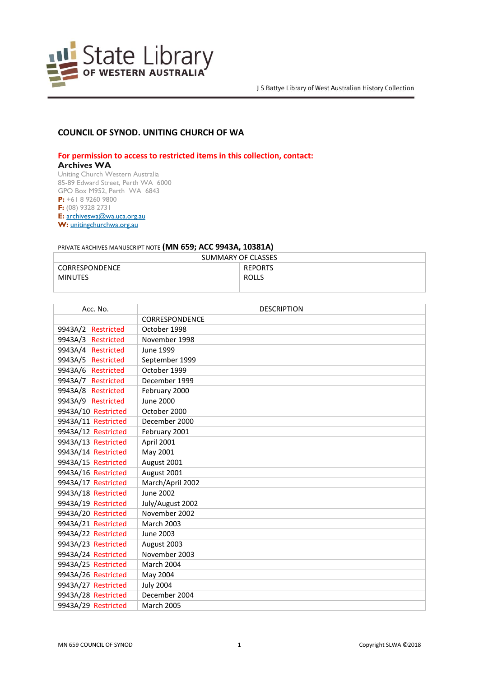

## **COUNCIL OF SYNOD. UNITING CHURCH OF WA**

**For permission to access to restricted items in this collection, contact:**

## **Archives WA**

Uniting Church Western Australia 85-89 Edward Street, Perth WA 6000 GPO Box M952, Perth WA 6843 **P:** +61 8 9260 9800 **F:** (08) 9328 2731 **E:** [archiveswa@wa.uca.org.au](https://aus01.safelinks.protection.outlook.com/?url=http%3A%2F%2Farchiveswa%40wa.uca.org.au%2F&data=04%7C01%7Cannette.delbianco%40slwa.wa.gov.au%7Ceb887ad3b8ca44e5505c08d8bb5493ad%7Cc1ae0ae2d5044287b6f47eafd6648d22%7C0%7C0%7C637465319229725013%7CUnknown%7CTWFpbGZsb3d8eyJWIjoiMC4wLjAwMDAiLCJQIjoiV2luMzIiLCJBTiI6Ik1haWwiLCJXVCI6Mn0%3D%7C1000&sdata=qWph%2FnpYcFkeyRuYU7B7oASgMSZto78hzjEw4kvrIaQ%3D&reserved=0) **W:** [unitingchurchwa.org.au](https://aus01.safelinks.protection.outlook.com/?url=http%3A%2F%2Fwww.unitingchurchwa.org.au%2F&data=04%7C01%7Cannette.delbianco%40slwa.wa.gov.au%7Ceb887ad3b8ca44e5505c08d8bb5493ad%7Cc1ae0ae2d5044287b6f47eafd6648d22%7C0%7C0%7C637465319229735016%7CUnknown%7CTWFpbGZsb3d8eyJWIjoiMC4wLjAwMDAiLCJQIjoiV2luMzIiLCJBTiI6Ik1haWwiLCJXVCI6Mn0%3D%7C1000&sdata=3vif4iZwb4umN9TH%2B1gho3VchgZuVnVSDH61XXrXjkE%3D&reserved=0)

## PRIVATE ARCHIVES MANUSCRIPT NOTE **(MN 659; ACC 9943A, 10381A)**

| SUMMARY OF CLASSES |                |
|--------------------|----------------|
| CORRESPONDENCE     | <b>REPORTS</b> |
| <b>MINUTES</b>     | <b>ROLLS</b>   |
|                    |                |

| Acc. No.            | <b>DESCRIPTION</b> |
|---------------------|--------------------|
|                     | CORRESPONDENCE     |
| 9943A/2 Restricted  | October 1998       |
| 9943A/3 Restricted  | November 1998      |
| 9943A/4 Restricted  | June 1999          |
| 9943A/5 Restricted  | September 1999     |
| 9943A/6 Restricted  | October 1999       |
| 9943A/7 Restricted  | December 1999      |
| 9943A/8 Restricted  | February 2000      |
| 9943A/9 Restricted  | June 2000          |
| 9943A/10 Restricted | October 2000       |
| 9943A/11 Restricted | December 2000      |
| 9943A/12 Restricted | February 2001      |
| 9943A/13 Restricted | April 2001         |
| 9943A/14 Restricted | May 2001           |
| 9943A/15 Restricted | August 2001        |
| 9943A/16 Restricted | August 2001        |
| 9943A/17 Restricted | March/April 2002   |
| 9943A/18 Restricted | June 2002          |
| 9943A/19 Restricted | July/August 2002   |
| 9943A/20 Restricted | November 2002      |
| 9943A/21 Restricted | <b>March 2003</b>  |
| 9943A/22 Restricted | June 2003          |
| 9943A/23 Restricted | August 2003        |
| 9943A/24 Restricted | November 2003      |
| 9943A/25 Restricted | March 2004         |
| 9943A/26 Restricted | May 2004           |
| 9943A/27 Restricted | <b>July 2004</b>   |
| 9943A/28 Restricted | December 2004      |
| 9943A/29 Restricted | <b>March 2005</b>  |